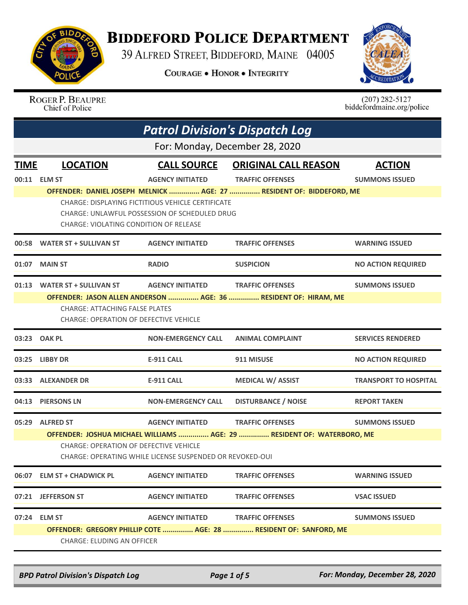

## **BIDDEFORD POLICE DEPARTMENT**

39 ALFRED STREET, BIDDEFORD, MAINE 04005

**COURAGE . HONOR . INTEGRITY** 



ROGER P. BEAUPRE<br>Chief of Police

 $(207)$  282-5127<br>biddefordmaine.org/police

|             | <b>Patrol Division's Dispatch Log</b>                                                                                                                                               |                                                                                                    |                                                                      |                              |  |
|-------------|-------------------------------------------------------------------------------------------------------------------------------------------------------------------------------------|----------------------------------------------------------------------------------------------------|----------------------------------------------------------------------|------------------------------|--|
|             | For: Monday, December 28, 2020                                                                                                                                                      |                                                                                                    |                                                                      |                              |  |
| <b>TIME</b> | <b>LOCATION</b>                                                                                                                                                                     | <b>CALL SOURCE</b>                                                                                 | <b>ORIGINAL CALL REASON</b>                                          | <b>ACTION</b>                |  |
|             | 00:11 ELM ST                                                                                                                                                                        | <b>AGENCY INITIATED</b>                                                                            | <b>TRAFFIC OFFENSES</b>                                              | <b>SUMMONS ISSUED</b>        |  |
|             | CHARGE: VIOLATING CONDITION OF RELEASE                                                                                                                                              | CHARGE: DISPLAYING FICTITIOUS VEHICLE CERTIFICATE<br>CHARGE: UNLAWFUL POSSESSION OF SCHEDULED DRUG | OFFENDER: DANIEL JOSEPH MELNICK  AGE: 27  RESIDENT OF: BIDDEFORD, ME |                              |  |
|             | 00:58 WATER ST + SULLIVAN ST                                                                                                                                                        | <b>AGENCY INITIATED</b>                                                                            | <b>TRAFFIC OFFENSES</b>                                              | <b>WARNING ISSUED</b>        |  |
| 01:07       | <b>MAIN ST</b>                                                                                                                                                                      | <b>RADIO</b>                                                                                       | <b>SUSPICION</b>                                                     | <b>NO ACTION REQUIRED</b>    |  |
|             | 01:13 WATER ST + SULLIVAN ST                                                                                                                                                        | <b>AGENCY INITIATED</b>                                                                            | <b>TRAFFIC OFFENSES</b>                                              | <b>SUMMONS ISSUED</b>        |  |
|             |                                                                                                                                                                                     |                                                                                                    | OFFENDER: JASON ALLEN ANDERSON  AGE: 36  RESIDENT OF: HIRAM, ME      |                              |  |
|             | <b>CHARGE: ATTACHING FALSE PLATES</b><br>CHARGE: OPERATION OF DEFECTIVE VEHICLE                                                                                                     |                                                                                                    |                                                                      |                              |  |
|             | 03:23 OAK PL                                                                                                                                                                        | <b>NON-EMERGENCY CALL</b>                                                                          | <b>ANIMAL COMPLAINT</b>                                              | <b>SERVICES RENDERED</b>     |  |
|             | 03:25 LIBBY DR                                                                                                                                                                      | <b>E-911 CALL</b>                                                                                  | 911 MISUSE                                                           | <b>NO ACTION REQUIRED</b>    |  |
|             | 03:33 ALEXANDER DR                                                                                                                                                                  | <b>E-911 CALL</b>                                                                                  | <b>MEDICAL W/ ASSIST</b>                                             | <b>TRANSPORT TO HOSPITAL</b> |  |
| 04:13       | <b>PIERSONS LN</b>                                                                                                                                                                  | <b>NON-EMERGENCY CALL</b>                                                                          | <b>DISTURBANCE / NOISE</b>                                           | <b>REPORT TAKEN</b>          |  |
| 05:29       | <b>ALFRED ST</b>                                                                                                                                                                    | <b>AGENCY INITIATED</b>                                                                            | <b>TRAFFIC OFFENSES</b>                                              | <b>SUMMONS ISSUED</b>        |  |
|             | OFFENDER: JOSHUA MICHAEL WILLIAMS  AGE: 29  RESIDENT OF: WATERBORO, ME<br><b>CHARGE: OPERATION OF DEFECTIVE VEHICLE</b><br>CHARGE: OPERATING WHILE LICENSE SUSPENDED OR REVOKED-OUI |                                                                                                    |                                                                      |                              |  |
| 06:07       | <b>ELM ST + CHADWICK PL</b>                                                                                                                                                         | <b>AGENCY INITIATED</b>                                                                            | <b>TRAFFIC OFFENSES</b>                                              | <b>WARNING ISSUED</b>        |  |
|             | 07:21 JEFFERSON ST                                                                                                                                                                  | <b>AGENCY INITIATED</b>                                                                            | <b>TRAFFIC OFFENSES</b>                                              | <b>VSAC ISSUED</b>           |  |
|             | 07:24 ELM ST                                                                                                                                                                        | <b>AGENCY INITIATED</b>                                                                            | <b>TRAFFIC OFFENSES</b>                                              | <b>SUMMONS ISSUED</b>        |  |
|             | <b>CHARGE: ELUDING AN OFFICER</b>                                                                                                                                                   |                                                                                                    | OFFENDER: GREGORY PHILLIP COTE  AGE: 28  RESIDENT OF: SANFORD, ME    |                              |  |

*BPD Patrol Division's Dispatch Log Page 1 of 5 For: Monday, December 28, 2020*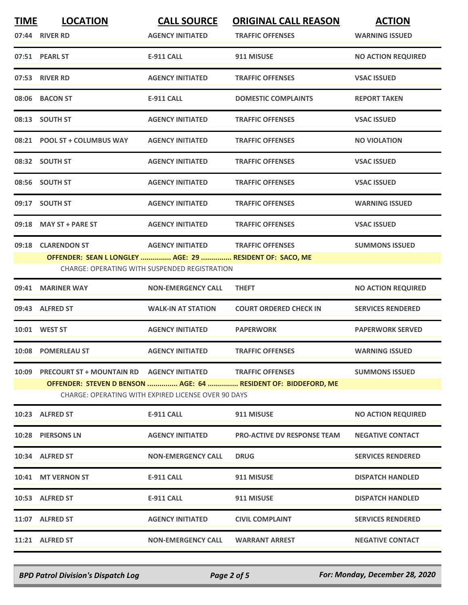| <b>TIME</b> | <b>LOCATION</b>                                                         | <b>CALL SOURCE</b>                                  | <b>ORIGINAL CALL REASON</b>                                    | <b>ACTION</b>             |
|-------------|-------------------------------------------------------------------------|-----------------------------------------------------|----------------------------------------------------------------|---------------------------|
|             | 07:44 RIVER RD                                                          | <b>AGENCY INITIATED</b>                             | <b>TRAFFIC OFFENSES</b>                                        | <b>WARNING ISSUED</b>     |
|             | 07:51 PEARL ST                                                          | <b>E-911 CALL</b>                                   | 911 MISUSE                                                     | <b>NO ACTION REQUIRED</b> |
|             | 07:53 RIVER RD                                                          | <b>AGENCY INITIATED</b>                             | <b>TRAFFIC OFFENSES</b>                                        | <b>VSAC ISSUED</b>        |
|             | 08:06 BACON ST                                                          | <b>E-911 CALL</b>                                   | <b>DOMESTIC COMPLAINTS</b>                                     | <b>REPORT TAKEN</b>       |
|             | 08:13 SOUTH ST                                                          | <b>AGENCY INITIATED</b>                             | <b>TRAFFIC OFFENSES</b>                                        | <b>VSAC ISSUED</b>        |
|             | 08:21 POOL ST + COLUMBUS WAY                                            | <b>AGENCY INITIATED</b>                             | <b>TRAFFIC OFFENSES</b>                                        | <b>NO VIOLATION</b>       |
|             | 08:32 SOUTH ST                                                          | <b>AGENCY INITIATED</b>                             | <b>TRAFFIC OFFENSES</b>                                        | <b>VSAC ISSUED</b>        |
|             | 08:56 SOUTH ST                                                          | <b>AGENCY INITIATED</b>                             | <b>TRAFFIC OFFENSES</b>                                        | <b>VSAC ISSUED</b>        |
|             | 09:17 SOUTH ST                                                          | <b>AGENCY INITIATED</b>                             | <b>TRAFFIC OFFENSES</b>                                        | <b>WARNING ISSUED</b>     |
|             | 09:18 MAY ST + PARE ST                                                  | <b>AGENCY INITIATED</b>                             | <b>TRAFFIC OFFENSES</b>                                        | <b>VSAC ISSUED</b>        |
|             | 09:18 CLARENDON ST                                                      | <b>AGENCY INITIATED</b>                             | <b>TRAFFIC OFFENSES</b>                                        | <b>SUMMONS ISSUED</b>     |
|             | OFFENDER: SEAN L LONGLEY  AGE: 29  RESIDENT OF: SACO, ME                | CHARGE: OPERATING WITH SUSPENDED REGISTRATION       |                                                                |                           |
|             | 09:41 MARINER WAY                                                       | <b>NON-EMERGENCY CALL</b>                           | <b>THEFT</b>                                                   | <b>NO ACTION REQUIRED</b> |
|             | 09:43 ALFRED ST                                                         | <b>WALK-IN AT STATION</b>                           | <b>COURT ORDERED CHECK IN</b>                                  | <b>SERVICES RENDERED</b>  |
|             | 10:01 WEST ST                                                           | <b>AGENCY INITIATED</b>                             | <b>PAPERWORK</b>                                               | <b>PAPERWORK SERVED</b>   |
|             | 10:08 POMERLEAU ST                                                      | <b>AGENCY INITIATED</b>                             | <b>TRAFFIC OFFENSES</b>                                        | <b>WARNING ISSUED</b>     |
|             | 10:09 PRECOURT ST + MOUNTAIN RD    AGENCY INITIATED    TRAFFIC OFFENSES |                                                     |                                                                | <b>SUMMONS ISSUED</b>     |
|             |                                                                         |                                                     | OFFENDER: STEVEN D BENSON  AGE: 64  RESIDENT OF: BIDDEFORD, ME |                           |
|             |                                                                         | CHARGE: OPERATING WITH EXPIRED LICENSE OVER 90 DAYS |                                                                |                           |
|             | 10:23 ALFRED ST                                                         | <b>E-911 CALL</b>                                   | 911 MISUSE                                                     | <b>NO ACTION REQUIRED</b> |
|             | 10:28 PIERSONS LN                                                       | <b>AGENCY INITIATED</b>                             | <b>PRO-ACTIVE DV RESPONSE TEAM</b>                             | <b>NEGATIVE CONTACT</b>   |
|             | 10:34 ALFRED ST                                                         | <b>NON-EMERGENCY CALL</b>                           | <b>DRUG</b>                                                    | <b>SERVICES RENDERED</b>  |
|             | 10:41 MT VERNON ST                                                      | E-911 CALL                                          | 911 MISUSE                                                     | <b>DISPATCH HANDLED</b>   |
|             | 10:53 ALFRED ST                                                         | E-911 CALL                                          | 911 MISUSE                                                     | <b>DISPATCH HANDLED</b>   |
|             | 11:07 ALFRED ST                                                         | <b>AGENCY INITIATED</b>                             | <b>CIVIL COMPLAINT</b>                                         | <b>SERVICES RENDERED</b>  |
|             | 11:21 ALFRED ST                                                         | <b>NON-EMERGENCY CALL</b>                           | <b>WARRANT ARREST</b>                                          | <b>NEGATIVE CONTACT</b>   |
|             |                                                                         |                                                     |                                                                |                           |

*BPD Patrol Division's Dispatch Log Page 2 of 5 For: Monday, December 28, 2020*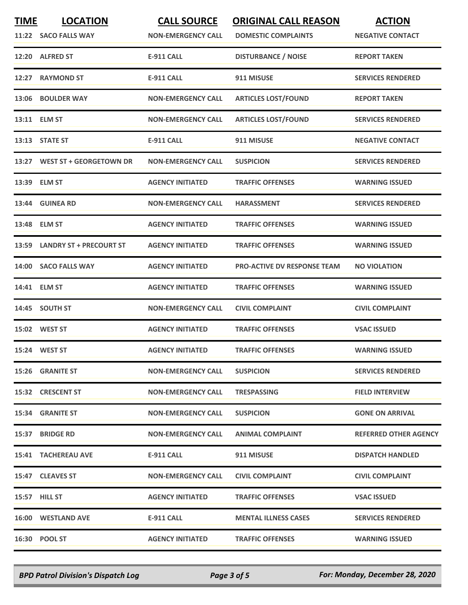| <u>TIME</u> | <b>LOCATION</b><br>11:22 SACO FALLS WAY | <b>CALL SOURCE</b><br><b>NON-EMERGENCY CALL</b> | <b>ORIGINAL CALL REASON</b><br><b>DOMESTIC COMPLAINTS</b> | <b>ACTION</b><br><b>NEGATIVE CONTACT</b> |
|-------------|-----------------------------------------|-------------------------------------------------|-----------------------------------------------------------|------------------------------------------|
|             | 12:20 ALFRED ST                         | <b>E-911 CALL</b>                               | <b>DISTURBANCE / NOISE</b>                                | <b>REPORT TAKEN</b>                      |
| 12:27       | <b>RAYMOND ST</b>                       | <b>E-911 CALL</b>                               | 911 MISUSE                                                | <b>SERVICES RENDERED</b>                 |
|             | 13:06 BOULDER WAY                       | <b>NON-EMERGENCY CALL</b>                       | <b>ARTICLES LOST/FOUND</b>                                | <b>REPORT TAKEN</b>                      |
|             | 13:11 ELM ST                            | <b>NON-EMERGENCY CALL</b>                       | <b>ARTICLES LOST/FOUND</b>                                | <b>SERVICES RENDERED</b>                 |
|             | 13:13 STATE ST                          | <b>E-911 CALL</b>                               | 911 MISUSE                                                | <b>NEGATIVE CONTACT</b>                  |
|             | 13:27 WEST ST + GEORGETOWN DR           | <b>NON-EMERGENCY CALL</b>                       | <b>SUSPICION</b>                                          | <b>SERVICES RENDERED</b>                 |
|             | 13:39 ELM ST                            | <b>AGENCY INITIATED</b>                         | <b>TRAFFIC OFFENSES</b>                                   | <b>WARNING ISSUED</b>                    |
|             | 13:44 GUINEA RD                         | <b>NON-EMERGENCY CALL</b>                       | <b>HARASSMENT</b>                                         | <b>SERVICES RENDERED</b>                 |
| 13:48       | <b>ELM ST</b>                           | <b>AGENCY INITIATED</b>                         | <b>TRAFFIC OFFENSES</b>                                   | <b>WARNING ISSUED</b>                    |
|             | 13:59 LANDRY ST + PRECOURT ST           | <b>AGENCY INITIATED</b>                         | <b>TRAFFIC OFFENSES</b>                                   | <b>WARNING ISSUED</b>                    |
|             | 14:00 SACO FALLS WAY                    | <b>AGENCY INITIATED</b>                         | <b>PRO-ACTIVE DV RESPONSE TEAM</b>                        | <b>NO VIOLATION</b>                      |
|             | 14:41 ELM ST                            | <b>AGENCY INITIATED</b>                         | <b>TRAFFIC OFFENSES</b>                                   | <b>WARNING ISSUED</b>                    |
|             | 14:45 SOUTH ST                          | <b>NON-EMERGENCY CALL</b>                       | <b>CIVIL COMPLAINT</b>                                    | <b>CIVIL COMPLAINT</b>                   |
|             | 15:02 WEST ST                           | <b>AGENCY INITIATED</b>                         | <b>TRAFFIC OFFENSES</b>                                   | <b>VSAC ISSUED</b>                       |
|             | 15:24 WEST ST                           | <b>AGENCY INITIATED</b>                         | <b>TRAFFIC OFFENSES</b>                                   | <b>WARNING ISSUED</b>                    |
|             | 15:26 GRANITE ST                        | <b>NON-EMERGENCY CALL</b>                       | <b>SUSPICION</b>                                          | <b>SERVICES RENDERED</b>                 |
|             | 15:32 CRESCENT ST                       | <b>NON-EMERGENCY CALL</b>                       | <b>TRESPASSING</b>                                        | <b>FIELD INTERVIEW</b>                   |
|             | 15:34 GRANITE ST                        | <b>NON-EMERGENCY CALL</b>                       | <b>SUSPICION</b>                                          | <b>GONE ON ARRIVAL</b>                   |
|             | 15:37 BRIDGE RD                         | <b>NON-EMERGENCY CALL</b>                       | <b>ANIMAL COMPLAINT</b>                                   | <b>REFERRED OTHER AGENCY</b>             |
|             | 15:41 TACHEREAU AVE                     | E-911 CALL                                      | 911 MISUSE                                                | <b>DISPATCH HANDLED</b>                  |
|             | 15:47 CLEAVES ST                        | <b>NON-EMERGENCY CALL</b>                       | <b>CIVIL COMPLAINT</b>                                    | <b>CIVIL COMPLAINT</b>                   |
|             | 15:57 HILL ST                           | <b>AGENCY INITIATED</b>                         | <b>TRAFFIC OFFENSES</b>                                   | <b>VSAC ISSUED</b>                       |
|             | 16:00 WESTLAND AVE                      | <b>E-911 CALL</b>                               | <b>MENTAL ILLNESS CASES</b>                               | <b>SERVICES RENDERED</b>                 |
|             | 16:30 POOL ST                           | <b>AGENCY INITIATED</b>                         | <b>TRAFFIC OFFENSES</b>                                   | <b>WARNING ISSUED</b>                    |

*BPD Patrol Division's Dispatch Log Page 3 of 5 For: Monday, December 28, 2020*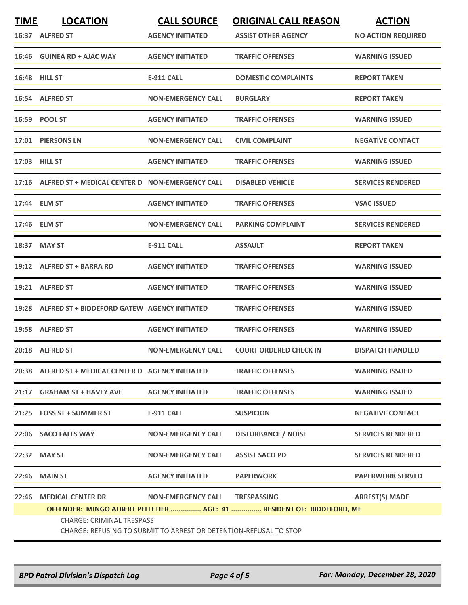| <b>TIME</b> | <b>LOCATION</b>                                                                                       | <b>CALL SOURCE</b>        | <b>ORIGINAL CALL REASON</b>   | <b>ACTION</b>             |  |
|-------------|-------------------------------------------------------------------------------------------------------|---------------------------|-------------------------------|---------------------------|--|
|             | 16:37 ALFRED ST                                                                                       | <b>AGENCY INITIATED</b>   | <b>ASSIST OTHER AGENCY</b>    | <b>NO ACTION REQUIRED</b> |  |
|             | 16:46 GUINEA RD + AJAC WAY                                                                            | <b>AGENCY INITIATED</b>   | <b>TRAFFIC OFFENSES</b>       | <b>WARNING ISSUED</b>     |  |
|             | <b>16:48 HILL ST</b>                                                                                  | E-911 CALL                | <b>DOMESTIC COMPLAINTS</b>    | <b>REPORT TAKEN</b>       |  |
|             | 16:54 ALFRED ST                                                                                       | <b>NON-EMERGENCY CALL</b> | <b>BURGLARY</b>               | <b>REPORT TAKEN</b>       |  |
|             | 16:59 POOL ST                                                                                         | <b>AGENCY INITIATED</b>   | <b>TRAFFIC OFFENSES</b>       | <b>WARNING ISSUED</b>     |  |
|             | 17:01 PIERSONS LN                                                                                     | <b>NON-EMERGENCY CALL</b> | <b>CIVIL COMPLAINT</b>        | <b>NEGATIVE CONTACT</b>   |  |
|             | 17:03 HILL ST                                                                                         | <b>AGENCY INITIATED</b>   | <b>TRAFFIC OFFENSES</b>       | <b>WARNING ISSUED</b>     |  |
|             | 17:16 ALFRED ST + MEDICAL CENTER D NON-EMERGENCY CALL                                                 |                           | <b>DISABLED VEHICLE</b>       | <b>SERVICES RENDERED</b>  |  |
|             | 17:44 ELM ST                                                                                          | <b>AGENCY INITIATED</b>   | <b>TRAFFIC OFFENSES</b>       | <b>VSAC ISSUED</b>        |  |
|             | 17:46 ELM ST                                                                                          | <b>NON-EMERGENCY CALL</b> | <b>PARKING COMPLAINT</b>      | <b>SERVICES RENDERED</b>  |  |
|             | 18:37 MAY ST                                                                                          | E-911 CALL                | <b>ASSAULT</b>                | <b>REPORT TAKEN</b>       |  |
| 19:12       | ALFRED ST + BARRA RD                                                                                  | <b>AGENCY INITIATED</b>   | <b>TRAFFIC OFFENSES</b>       | <b>WARNING ISSUED</b>     |  |
|             | 19:21 ALFRED ST                                                                                       | <b>AGENCY INITIATED</b>   | <b>TRAFFIC OFFENSES</b>       | <b>WARNING ISSUED</b>     |  |
|             | 19:28 ALFRED ST + BIDDEFORD GATEW AGENCY INITIATED                                                    |                           | <b>TRAFFIC OFFENSES</b>       | <b>WARNING ISSUED</b>     |  |
|             | 19:58 ALFRED ST                                                                                       | <b>AGENCY INITIATED</b>   | <b>TRAFFIC OFFENSES</b>       | <b>WARNING ISSUED</b>     |  |
|             | 20:18 ALFRED ST                                                                                       | <b>NON-EMERGENCY CALL</b> | <b>COURT ORDERED CHECK IN</b> | <b>DISPATCH HANDLED</b>   |  |
|             | 20:38 ALFRED ST + MEDICAL CENTER D AGENCY INITIATED                                                   |                           | <b>TRAFFIC OFFENSES</b>       | <b>WARNING ISSUED</b>     |  |
|             | 21:17 GRAHAM ST + HAVEY AVE                                                                           | <b>AGENCY INITIATED</b>   | <b>TRAFFIC OFFENSES</b>       | <b>WARNING ISSUED</b>     |  |
|             | 21:25 FOSS ST + SUMMER ST                                                                             | E-911 CALL                | <b>SUSPICION</b>              | <b>NEGATIVE CONTACT</b>   |  |
|             | 22:06 SACO FALLS WAY                                                                                  | <b>NON-EMERGENCY CALL</b> | <b>DISTURBANCE / NOISE</b>    | <b>SERVICES RENDERED</b>  |  |
|             | 22:32 MAY ST                                                                                          | <b>NON-EMERGENCY CALL</b> | <b>ASSIST SACO PD</b>         | <b>SERVICES RENDERED</b>  |  |
|             | 22:46 MAIN ST                                                                                         | <b>AGENCY INITIATED</b>   | <b>PAPERWORK</b>              | <b>PAPERWORK SERVED</b>   |  |
| 22:46       | <b>MEDICAL CENTER DR</b>                                                                              | <b>NON-EMERGENCY CALL</b> | <b>TRESPASSING</b>            | <b>ARREST(S) MADE</b>     |  |
|             | OFFENDER: MINGO ALBERT PELLETIER  AGE: 41  RESIDENT OF: BIDDEFORD, ME                                 |                           |                               |                           |  |
|             | <b>CHARGE: CRIMINAL TRESPASS</b><br>CHARGE: REFUSING TO SUBMIT TO ARREST OR DETENTION-REFUSAL TO STOP |                           |                               |                           |  |
|             |                                                                                                       |                           |                               |                           |  |